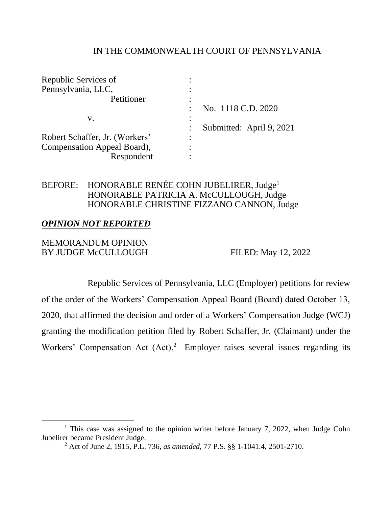## IN THE COMMONWEALTH COURT OF PENNSYLVANIA

| Republic Services of           |                          |
|--------------------------------|--------------------------|
| Pennsylvania, LLC,             |                          |
| Petitioner                     |                          |
|                                | No. 1118 C.D. 2020       |
| v.                             |                          |
|                                | Submitted: April 9, 2021 |
| Robert Schaffer, Jr. (Workers' |                          |
| Compensation Appeal Board),    |                          |
| Respondent                     |                          |

# BEFORE: HONORABLE RENÉE COHN JUBELIRER, Judge<sup>1</sup> HONORABLE PATRICIA A. McCULLOUGH, Judge HONORABLE CHRISTINE FIZZANO CANNON, Judge

# *OPINION NOT REPORTED*

# MEMORANDUM OPINION BY JUDGE McCULLOUGH FILED: May 12, 2022

Republic Services of Pennsylvania, LLC (Employer) petitions for review of the order of the Workers' Compensation Appeal Board (Board) dated October 13, 2020, that affirmed the decision and order of a Workers' Compensation Judge (WCJ) granting the modification petition filed by Robert Schaffer, Jr. (Claimant) under the Workers' Compensation Act (Act).<sup>2</sup> Employer raises several issues regarding its

<sup>&</sup>lt;sup>1</sup> This case was assigned to the opinion writer before January 7, 2022, when Judge Cohn Jubelirer became President Judge.

<sup>2</sup> Act of June 2, 1915, P.L. 736, *as amended*, 77 P.S. §§ 1-1041.4, 2501-2710.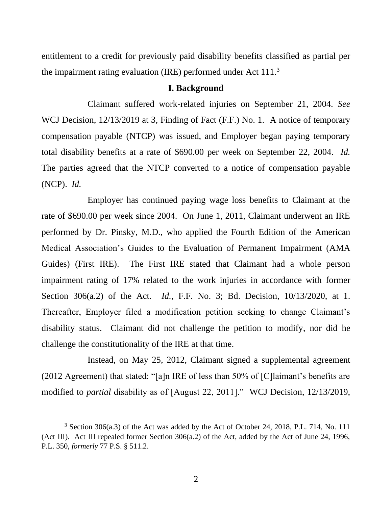entitlement to a credit for previously paid disability benefits classified as partial per the impairment rating evaluation (IRE) performed under Act  $111.^3$ 

## **I. Background**

Claimant suffered work-related injuries on September 21, 2004. *See* WCJ Decision,  $12/13/2019$  at 3, Finding of Fact (F.F.) No. 1. A notice of temporary compensation payable (NTCP) was issued, and Employer began paying temporary total disability benefits at a rate of \$690.00 per week on September 22, 2004. *Id.* The parties agreed that the NTCP converted to a notice of compensation payable (NCP). *Id.*

Employer has continued paying wage loss benefits to Claimant at the rate of \$690.00 per week since 2004. On June 1, 2011, Claimant underwent an IRE performed by Dr. Pinsky, M.D., who applied the Fourth Edition of the American Medical Association's Guides to the Evaluation of Permanent Impairment (AMA Guides) (First IRE). The First IRE stated that Claimant had a whole person impairment rating of 17% related to the work injuries in accordance with former Section 306(a.2) of the Act. *Id.*, F.F. No. 3; Bd. Decision, 10/13/2020, at 1. Thereafter, Employer filed a modification petition seeking to change Claimant's disability status. Claimant did not challenge the petition to modify, nor did he challenge the constitutionality of the IRE at that time.

Instead, on May 25, 2012, Claimant signed a supplemental agreement (2012 Agreement) that stated: "[a]n IRE of less than 50% of [C]laimant's benefits are modified to *partial* disability as of [August 22, 2011]." WCJ Decision, 12/13/2019,

<sup>3</sup> Section 306(a.3) of the Act was added by the Act of October 24, 2018, P.L. 714, No. 111 (Act III). Act III repealed former Section 306(a.2) of the Act, added by the Act of June 24, 1996, P.L. 350, *formerly* 77 P.S. § 511.2.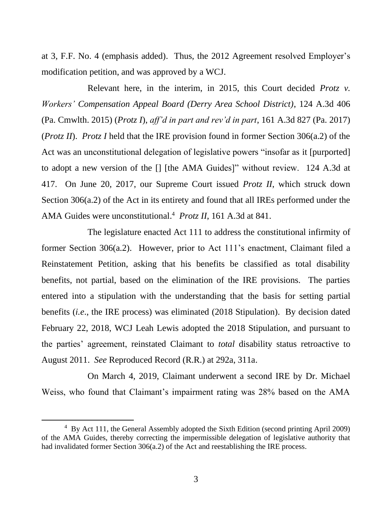at 3, F.F. No. 4 (emphasis added). Thus, the 2012 Agreement resolved Employer's modification petition, and was approved by a WCJ.

Relevant here, in the interim, in 2015, this Court decided *Protz v. Workers' Compensation Appeal Board (Derry Area School District)*, 124 A.3d 406 (Pa. Cmwlth. 2015) (*Protz I*), *aff'd in part and rev'd in part*, 161 A.3d 827 (Pa. 2017) (*Protz II*). *Protz I* held that the IRE provision found in former Section 306(a.2) of the Act was an unconstitutional delegation of legislative powers "insofar as it [purported] to adopt a new version of the [] [the AMA Guides]" without review. 124 A.3d at 417. On June 20, 2017, our Supreme Court issued *Protz II*, which struck down Section 306(a.2) of the Act in its entirety and found that all IREs performed under the AMA Guides were unconstitutional. <sup>4</sup> *Protz II*, 161 A.3d at 841.

The legislature enacted Act 111 to address the constitutional infirmity of former Section 306(a.2). However, prior to Act 111's enactment, Claimant filed a Reinstatement Petition, asking that his benefits be classified as total disability benefits, not partial, based on the elimination of the IRE provisions. The parties entered into a stipulation with the understanding that the basis for setting partial benefits (*i.e*., the IRE process) was eliminated (2018 Stipulation). By decision dated February 22, 2018, WCJ Leah Lewis adopted the 2018 Stipulation, and pursuant to the parties' agreement, reinstated Claimant to *total* disability status retroactive to August 2011. *See* Reproduced Record (R.R.) at 292a, 311a.

On March 4, 2019, Claimant underwent a second IRE by Dr. Michael Weiss, who found that Claimant's impairment rating was 28% based on the AMA

<sup>&</sup>lt;sup>4</sup> By Act 111, the General Assembly adopted the Sixth Edition (second printing April 2009) of the AMA Guides, thereby correcting the impermissible delegation of legislative authority that had invalidated former Section 306(a.2) of the Act and reestablishing the IRE process.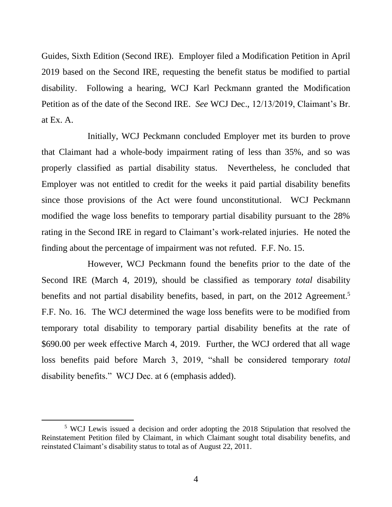Guides, Sixth Edition (Second IRE). Employer filed a Modification Petition in April 2019 based on the Second IRE, requesting the benefit status be modified to partial disability. Following a hearing, WCJ Karl Peckmann granted the Modification Petition as of the date of the Second IRE. *See* WCJ Dec., 12/13/2019, Claimant's Br. at Ex. A.

Initially, WCJ Peckmann concluded Employer met its burden to prove that Claimant had a whole-body impairment rating of less than 35%, and so was properly classified as partial disability status. Nevertheless, he concluded that Employer was not entitled to credit for the weeks it paid partial disability benefits since those provisions of the Act were found unconstitutional. WCJ Peckmann modified the wage loss benefits to temporary partial disability pursuant to the 28% rating in the Second IRE in regard to Claimant's work-related injuries. He noted the finding about the percentage of impairment was not refuted. F.F. No. 15.

However, WCJ Peckmann found the benefits prior to the date of the Second IRE (March 4, 2019), should be classified as temporary *total* disability benefits and not partial disability benefits, based, in part, on the 2012 Agreement.<sup>5</sup> F.F. No. 16. The WCJ determined the wage loss benefits were to be modified from temporary total disability to temporary partial disability benefits at the rate of \$690.00 per week effective March 4, 2019. Further, the WCJ ordered that all wage loss benefits paid before March 3, 2019, "shall be considered temporary *total* disability benefits." WCJ Dec. at 6 (emphasis added).

<sup>5</sup> WCJ Lewis issued a decision and order adopting the 2018 Stipulation that resolved the Reinstatement Petition filed by Claimant, in which Claimant sought total disability benefits, and reinstated Claimant's disability status to total as of August 22, 2011.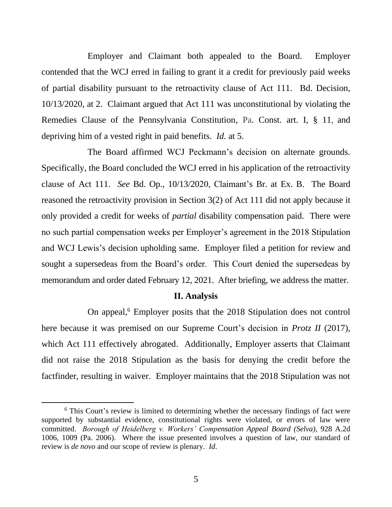Employer and Claimant both appealed to the Board. Employer contended that the WCJ erred in failing to grant it a credit for previously paid weeks of partial disability pursuant to the retroactivity clause of Act 111. Bd. Decision, 10/13/2020, at 2. Claimant argued that Act 111 was unconstitutional by violating the Remedies Clause of the Pennsylvania Constitution, Pa. Const. art. I, § 11, and depriving him of a vested right in paid benefits. *Id.* at 5.

The Board affirmed WCJ Peckmann's decision on alternate grounds. Specifically, the Board concluded the WCJ erred in his application of the retroactivity clause of Act 111. *See* Bd. Op., 10/13/2020, Claimant's Br. at Ex. B. The Board reasoned the retroactivity provision in Section 3(2) of Act 111 did not apply because it only provided a credit for weeks of *partial* disability compensation paid. There were no such partial compensation weeks per Employer's agreement in the 2018 Stipulation and WCJ Lewis's decision upholding same. Employer filed a petition for review and sought a supersedeas from the Board's order. This Court denied the supersedeas by memorandum and order dated February 12, 2021. After briefing, we address the matter.

#### **II. Analysis**

On appeal,<sup>6</sup> Employer posits that the 2018 Stipulation does not control here because it was premised on our Supreme Court's decision in *Protz II* (2017), which Act 111 effectively abrogated. Additionally, Employer asserts that Claimant did not raise the 2018 Stipulation as the basis for denying the credit before the factfinder, resulting in waiver. Employer maintains that the 2018 Stipulation was not

<sup>&</sup>lt;sup>6</sup> This Court's review is limited to determining whether the necessary findings of fact were supported by substantial evidence, constitutional rights were violated, or errors of law were committed. *Borough of Heidelberg v. Workers' Compensation Appeal Board (Selva)*, 928 A.2d 1006, 1009 (Pa. 2006). Where the issue presented involves a question of law, our standard of review is *de novo* and our scope of review is plenary. *Id*.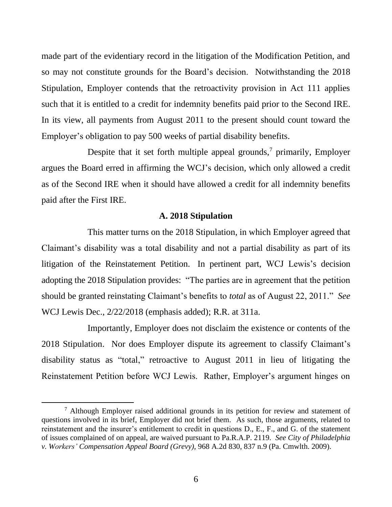made part of the evidentiary record in the litigation of the Modification Petition, and so may not constitute grounds for the Board's decision. Notwithstanding the 2018 Stipulation, Employer contends that the retroactivity provision in Act 111 applies such that it is entitled to a credit for indemnity benefits paid prior to the Second IRE. In its view, all payments from August 2011 to the present should count toward the Employer's obligation to pay 500 weeks of partial disability benefits.

Despite that it set forth multiple appeal grounds, $\overline{a}$  primarily, Employer argues the Board erred in affirming the WCJ's decision, which only allowed a credit as of the Second IRE when it should have allowed a credit for all indemnity benefits paid after the First IRE.

# **A. 2018 Stipulation**

This matter turns on the 2018 Stipulation, in which Employer agreed that Claimant's disability was a total disability and not a partial disability as part of its litigation of the Reinstatement Petition. In pertinent part, WCJ Lewis's decision adopting the 2018 Stipulation provides: "The parties are in agreement that the petition should be granted reinstating Claimant's benefits to *total* as of August 22, 2011." *See*  WCJ Lewis Dec., 2/22/2018 (emphasis added); R.R. at 311a.

Importantly, Employer does not disclaim the existence or contents of the 2018 Stipulation. Nor does Employer dispute its agreement to classify Claimant's disability status as "total," retroactive to August 2011 in lieu of litigating the Reinstatement Petition before WCJ Lewis. Rather, Employer's argument hinges on

<sup>7</sup> Although Employer raised additional grounds in its petition for review and statement of questions involved in its brief, Employer did not brief them. As such, those arguments, related to reinstatement and the insurer's entitlement to credit in questions D., E., F., and G. of the statement of issues complained of on appeal, are waived pursuant to Pa.R.A.P. 2119. *See City of Philadelphia v. Workers' Compensation Appeal Board (Grevy)*, 968 A.2d 830, 837 n.9 (Pa. Cmwlth. 2009).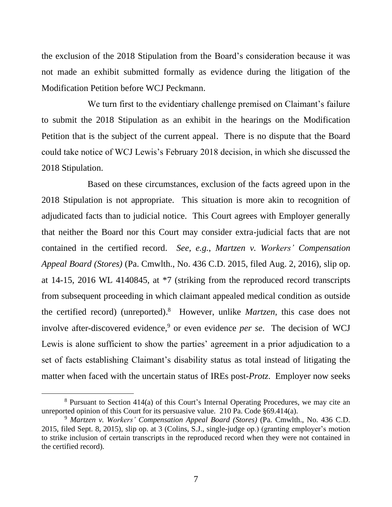the exclusion of the 2018 Stipulation from the Board's consideration because it was not made an exhibit submitted formally as evidence during the litigation of the Modification Petition before WCJ Peckmann.

We turn first to the evidentiary challenge premised on Claimant's failure to submit the 2018 Stipulation as an exhibit in the hearings on the Modification Petition that is the subject of the current appeal. There is no dispute that the Board could take notice of WCJ Lewis's February 2018 decision, in which she discussed the 2018 Stipulation.

Based on these circumstances, exclusion of the facts agreed upon in the 2018 Stipulation is not appropriate. This situation is more akin to recognition of adjudicated facts than to judicial notice. This Court agrees with Employer generally that neither the Board nor this Court may consider extra-judicial facts that are not contained in the certified record. *See, e.g.*, *Martzen v. Workers' Compensation Appeal Board (Stores)* (Pa. Cmwlth., No. 436 C.D. 2015, filed Aug. 2, 2016), slip op. at 14-15, 2016 WL 4140845, at \*7 (striking from the reproduced record transcripts from subsequent proceeding in which claimant appealed medical condition as outside the certified record) (unreported). 8 However, unlike *Martzen*, this case does not involve after-discovered evidence,<sup>9</sup> or even evidence *per se*. The decision of WCJ Lewis is alone sufficient to show the parties' agreement in a prior adjudication to a set of facts establishing Claimant's disability status as total instead of litigating the matter when faced with the uncertain status of IREs post-*Protz*. Employer now seeks

<sup>8</sup> Pursuant to Section 414(a) of this Court's Internal Operating Procedures, we may cite an unreported opinion of this Court for its persuasive value. 210 Pa. Code §69.414(a).

<sup>9</sup> *Martzen v. Workers' Compensation Appeal Board (Stores)* (Pa. Cmwlth., No. 436 C.D. 2015, filed Sept. 8, 2015), slip op. at 3 (Colins, S.J., single-judge op.) (granting employer's motion to strike inclusion of certain transcripts in the reproduced record when they were not contained in the certified record).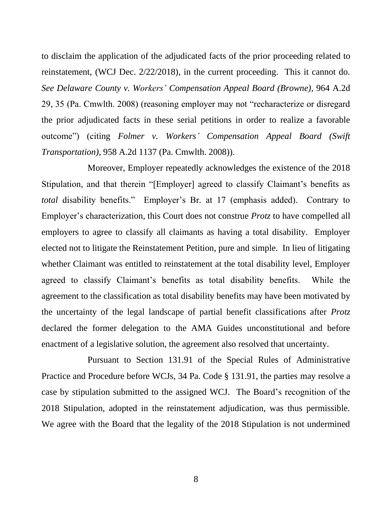to disclaim the application of the adjudicated facts of the prior proceeding related to reinstatement, (WCJ Dec. 2/22/2018), in the current proceeding. This it cannot do. *See Delaware County v. Workers' Compensation Appeal Board (Browne)*, 964 A.2d 29, 35 (Pa. Cmwlth. 2008) (reasoning employer may not "recharacterize or disregard the prior adjudicated facts in these serial petitions in order to realize a favorable outcome") (citing *Folmer v. Workers' Compensation Appeal Board (Swift Transportation)*, 958 A.2d 1137 (Pa. Cmwlth. 2008)).

Moreover, Employer repeatedly acknowledges the existence of the 2018 Stipulation, and that therein "[Employer] agreed to classify Claimant's benefits as *total* disability benefits." Employer's Br. at 17 (emphasis added). Contrary to Employer's characterization, this Court does not construe *Protz* to have compelled all employers to agree to classify all claimants as having a total disability. Employer elected not to litigate the Reinstatement Petition, pure and simple. In lieu of litigating whether Claimant was entitled to reinstatement at the total disability level, Employer agreed to classify Claimant's benefits as total disability benefits. While the agreement to the classification as total disability benefits may have been motivated by the uncertainty of the legal landscape of partial benefit classifications after *Protz* declared the former delegation to the AMA Guides unconstitutional and before enactment of a legislative solution, the agreement also resolved that uncertainty.

Pursuant to Section 131.91 of the Special Rules of Administrative Practice and Procedure before WCJs, 34 Pa. Code § 131.91, the parties may resolve a case by stipulation submitted to the assigned WCJ. The Board's recognition of the 2018 Stipulation, adopted in the reinstatement adjudication, was thus permissible. We agree with the Board that the legality of the 2018 Stipulation is not undermined

8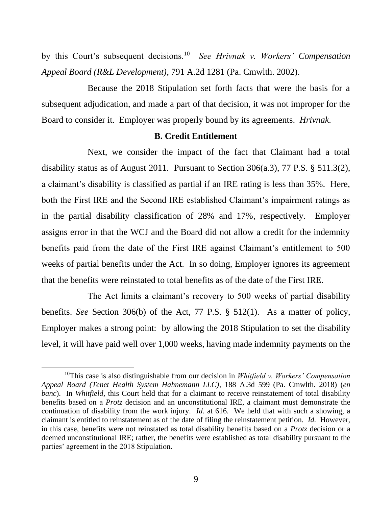by this Court's subsequent decisions.<sup>10</sup> *See Hrivnak v. Workers' Compensation Appeal Board (R&L Development)*, 791 A.2d 1281 (Pa. Cmwlth. 2002).

Because the 2018 Stipulation set forth facts that were the basis for a subsequent adjudication, and made a part of that decision, it was not improper for the Board to consider it. Employer was properly bound by its agreements. *Hrivnak.*

#### **B. Credit Entitlement**

Next, we consider the impact of the fact that Claimant had a total disability status as of August 2011. Pursuant to Section 306(a.3), 77 P.S. § 511.3(2), a claimant's disability is classified as partial if an IRE rating is less than 35%. Here, both the First IRE and the Second IRE established Claimant's impairment ratings as in the partial disability classification of 28% and 17%, respectively. Employer assigns error in that the WCJ and the Board did not allow a credit for the indemnity benefits paid from the date of the First IRE against Claimant's entitlement to 500 weeks of partial benefits under the Act. In so doing, Employer ignores its agreement that the benefits were reinstated to total benefits as of the date of the First IRE.

The Act limits a claimant's recovery to 500 weeks of partial disability benefits. *See* Section 306(b) of the Act, 77 P.S. § 512(1). As a matter of policy, Employer makes a strong point: by allowing the 2018 Stipulation to set the disability level, it will have paid well over 1,000 weeks, having made indemnity payments on the

<sup>10</sup>This case is also distinguishable from our decision in *Whitfield v. Workers' Compensation Appeal Board (Tenet Health System Hahnemann LLC)*, 188 A.3d 599 (Pa. Cmwlth. 2018) (*en banc*). In *Whitfield*, this Court held that for a claimant to receive reinstatement of total disability benefits based on a *Protz* decision and an unconstitutional IRE, a claimant must demonstrate the continuation of disability from the work injury. *Id.* at 616. We held that with such a showing, a claimant is entitled to reinstatement as of the date of filing the reinstatement petition. *Id.* However, in this case, benefits were not reinstated as total disability benefits based on a *Protz* decision or a deemed unconstitutional IRE; rather, the benefits were established as total disability pursuant to the parties' agreement in the 2018 Stipulation.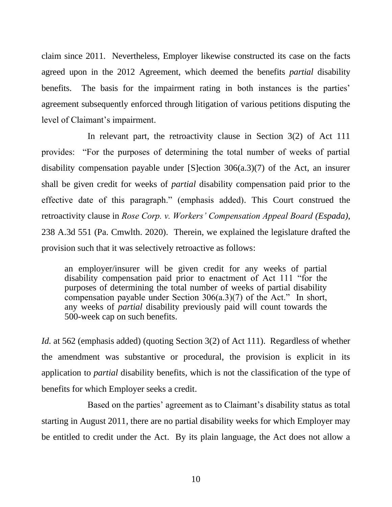claim since 2011. Nevertheless, Employer likewise constructed its case on the facts agreed upon in the 2012 Agreement, which deemed the benefits *partial* disability benefits. The basis for the impairment rating in both instances is the parties' agreement subsequently enforced through litigation of various petitions disputing the level of Claimant's impairment.

In relevant part, the retroactivity clause in Section 3(2) of Act 111 provides: "For the purposes of determining the total number of weeks of partial disability compensation payable under [S]ection 306(a.3)(7) of the Act, an insurer shall be given credit for weeks of *partial* disability compensation paid prior to the effective date of this paragraph." (emphasis added). This Court construed the retroactivity clause in *Rose Corp. v. Workers' Compensation Appeal Board (Espada)*, 238 A.3d 551 (Pa. Cmwlth. 2020). Therein, we explained the legislature drafted the provision such that it was selectively retroactive as follows:

an employer/insurer will be given credit for any weeks of partial disability compensation paid prior to enactment of Act 111 "for the purposes of determining the total number of weeks of partial disability compensation payable under Section 306(a.3)(7) of the Act." In short, any weeks of *partial* disability previously paid will count towards the 500-week cap on such benefits.

*Id.* at 562 (emphasis added) (quoting Section 3(2) of Act 111). Regardless of whether the amendment was substantive or procedural, the provision is explicit in its application to *partial* disability benefits, which is not the classification of the type of benefits for which Employer seeks a credit.

Based on the parties' agreement as to Claimant's disability status as total starting in August 2011, there are no partial disability weeks for which Employer may be entitled to credit under the Act. By its plain language, the Act does not allow a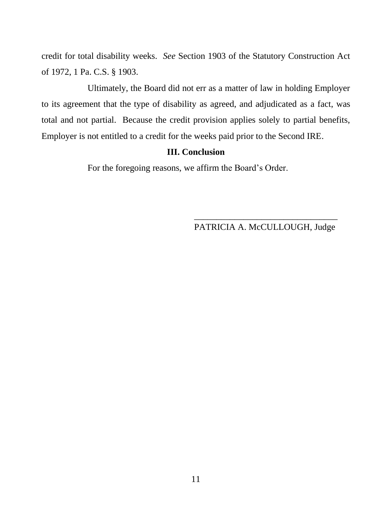credit for total disability weeks. *See* Section 1903 of the Statutory Construction Act of 1972, 1 Pa. C.S. § 1903.

Ultimately, the Board did not err as a matter of law in holding Employer to its agreement that the type of disability as agreed, and adjudicated as a fact, was total and not partial. Because the credit provision applies solely to partial benefits, Employer is not entitled to a credit for the weeks paid prior to the Second IRE.

# **III. Conclusion**

For the foregoing reasons, we affirm the Board's Order.

\_\_\_\_\_\_\_\_\_\_\_\_\_\_\_\_\_\_\_\_\_\_\_\_\_\_\_\_\_\_\_\_ PATRICIA A. McCULLOUGH, Judge